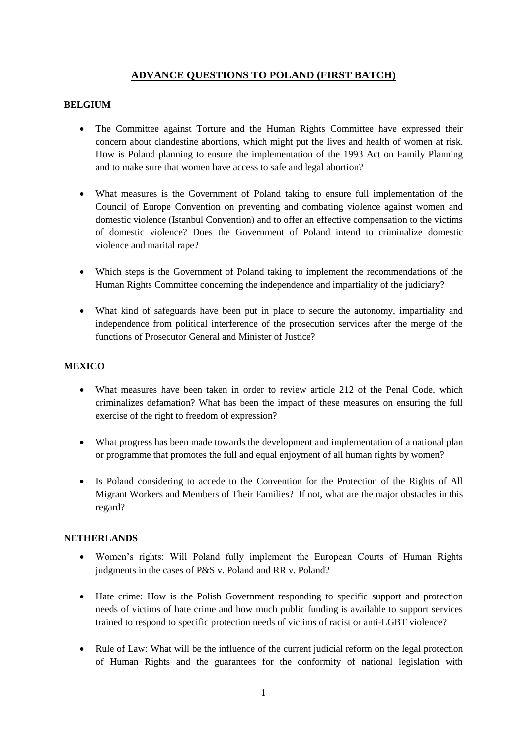# **ADVANCE QUESTIONS TO POLAND (FIRST BATCH)**

## **BELGIUM**

- The Committee against Torture and the Human Rights Committee have expressed their concern about clandestine abortions, which might put the lives and health of women at risk. How is Poland planning to ensure the implementation of the 1993 Act on Family Planning and to make sure that women have access to safe and legal abortion?
- What measures is the Government of Poland taking to ensure full implementation of the Council of Europe Convention on preventing and combating violence against women and domestic violence (Istanbul Convention) and to offer an effective compensation to the victims of domestic violence? Does the Government of Poland intend to criminalize domestic violence and marital rape?
- Which steps is the Government of Poland taking to implement the recommendations of the Human Rights Committee concerning the independence and impartiality of the judiciary?
- What kind of safeguards have been put in place to secure the autonomy, impartiality and independence from political interference of the prosecution services after the merge of the functions of Prosecutor General and Minister of Justice?

### **MEXICO**

- What measures have been taken in order to review article 212 of the Penal Code, which criminalizes defamation? What has been the impact of these measures on ensuring the full exercise of the right to freedom of expression?
- What progress has been made towards the development and implementation of a national plan or programme that promotes the full and equal enjoyment of all human rights by women?
- Is Poland considering to accede to the Convention for the Protection of the Rights of All Migrant Workers and Members of Their Families? If not, what are the major obstacles in this regard?

#### **NETHERLANDS**

- Women's rights: Will Poland fully implement the European Courts of Human Rights judgments in the cases of P&S v. Poland and RR v. Poland?
- Hate crime: How is the Polish Government responding to specific support and protection needs of victims of hate crime and how much public funding is available to support services trained to respond to specific protection needs of victims of racist or anti-LGBT violence?
- Rule of Law: What will be the influence of the current judicial reform on the legal protection of Human Rights and the guarantees for the conformity of national legislation with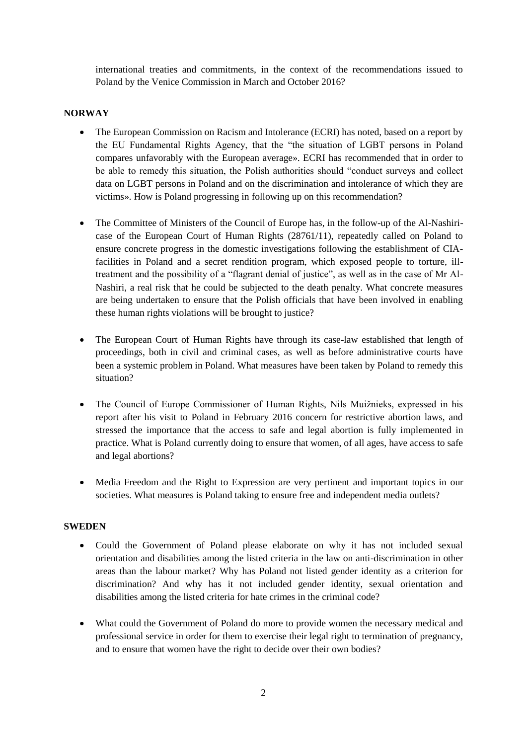international treaties and commitments, in the context of the recommendations issued to Poland by the Venice Commission in March and October 2016?

## **NORWAY**

- The European Commission on Racism and Intolerance (ECRI) has noted, based on a report by the EU Fundamental Rights Agency, that the "the situation of LGBT persons in Poland compares unfavorably with the European average». ECRI has recommended that in order to be able to remedy this situation, the Polish authorities should "conduct surveys and collect data on LGBT persons in Poland and on the discrimination and intolerance of which they are victims». How is Poland progressing in following up on this recommendation?
- The Committee of Ministers of the Council of Europe has, in the follow-up of the Al-Nashiricase of the European Court of Human Rights (28761/11), repeatedly called on Poland to ensure concrete progress in the domestic investigations following the establishment of CIAfacilities in Poland and a secret rendition program, which exposed people to torture, illtreatment and the possibility of a "flagrant denial of justice", as well as in the case of Mr Al-Nashiri, a real risk that he could be subjected to the death penalty. What concrete measures are being undertaken to ensure that the Polish officials that have been involved in enabling these human rights violations will be brought to justice?
- The European Court of Human Rights have through its case-law established that length of proceedings, both in civil and criminal cases, as well as before administrative courts have been a systemic problem in Poland. What measures have been taken by Poland to remedy this situation?
- The Council of Europe Commissioner of Human Rights, Nils Muižnieks, expressed in his report after his visit to Poland in February 2016 concern for restrictive abortion laws, and stressed the importance that the access to safe and legal abortion is fully implemented in practice. What is Poland currently doing to ensure that women, of all ages, have access to safe and legal abortions?
- Media Freedom and the Right to Expression are very pertinent and important topics in our societies. What measures is Poland taking to ensure free and independent media outlets?

## **SWEDEN**

- Could the Government of Poland please elaborate on why it has not included sexual orientation and disabilities among the listed criteria in the law on anti-discrimination in other areas than the labour market? Why has Poland not listed gender identity as a criterion for discrimination? And why has it not included gender identity, sexual orientation and disabilities among the listed criteria for hate crimes in the criminal code?
- What could the Government of Poland do more to provide women the necessary medical and professional service in order for them to exercise their legal right to termination of pregnancy, and to ensure that women have the right to decide over their own bodies?